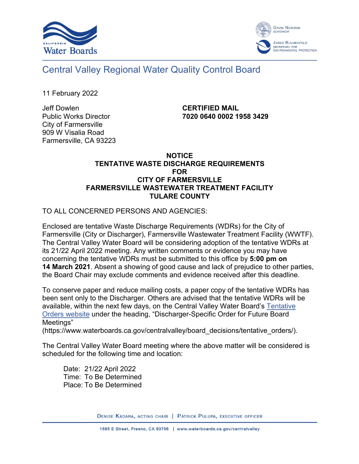



Central Valley Regional Water Quality Control Board

11 February 2022

Jeff Dowlen Public Works Director City of Farmersville 909 W Visalia Road Farmersville, CA 93223 **CERTIFIED MAIL 7020 0640 0002 1958 3429**

## **NOTICE TENTATIVE WASTE DISCHARGE REQUIREMENTS FOR CITY OF FARMERSVILLE FARMERSVILLE WASTEWATER TREATMENT FACILITY TULARE COUNTY**

TO ALL CONCERNED PERSONS AND AGENCIES:

Enclosed are tentative Waste Discharge Requirements (WDRs) for the City of Farmersville (City or Discharger), Farmersville Wastewater Treatment Facility (WWTF). The Central Valley Water Board will be considering adoption of the tentative WDRs at its 21/22 April 2022 meeting. Any written comments or evidence you may have concerning the tentative WDRs must be submitted to this office by **5:00 pm on 14 March 2021**. Absent a showing of good cause and lack of prejudice to other parties, the Board Chair may exclude comments and evidence received after this deadline.

To conserve paper and reduce mailing costs, a paper copy of the tentative WDRs has been sent only to the Discharger. Others are advised that the tentative WDRs will be available, within the next few days, on the Central Valley Water Board's [Tentative](https://www.waterboards.ca.gov/centralvalley/board_decisions/tentative_orders/)  [Orders website](https://www.waterboards.ca.gov/centralvalley/board_decisions/tentative_orders/) under the heading, "Discharger-Specific Order for Future Board Meetings"

(https://www.waterboards.ca.gov/centralvalley/board\_decisions/tentative\_orders/).

The Central Valley Water Board meeting where the above matter will be considered is scheduled for the following time and location:

Date: 21/22 April 2022 Time: To Be Determined Place: To Be Determined

DENISE KADARA, ACTING CHAIR | PATRICK PULUPA, EXECUTIVE OFFICER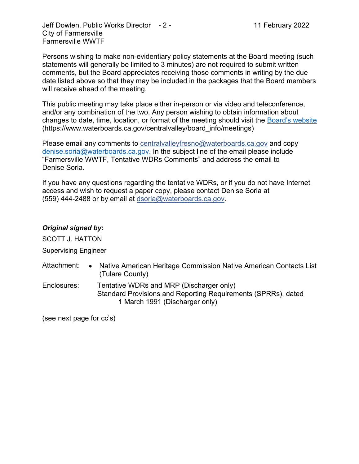Jeff Dowlen, Public Works Director - 2 - 11 February 2022 City of Farmersville Farmersville WWTF

Persons wishing to make non-evidentiary policy statements at the Board meeting (such statements will generally be limited to 3 minutes) are not required to submit written comments, but the Board appreciates receiving those comments in writing by the due date listed above so that they may be included in the packages that the Board members will receive ahead of the meeting.

This public meeting may take place either in-person or via video and teleconference, and/or any combination of the two. Any person wishing to obtain information about changes to date, time, location, or format of the meeting should visit the [Board's website](https://www.waterboards.ca.gov/centralvalley/board_info/meetings) (https://www.waterboards.ca.gov/centralvalley/board\_info/meetings)

Please email any comments to [centralvalleyfresno@waterboards.ca.gov](mailto:centralvalleyfresno@waterboards.ca.gov) and copy [denise.soria@waterboards.ca.gov.](mailto:denise.soria@waterboards.ca.gov) In the subject line of the email please include "Farmersville WWTF, Tentative WDRs Comments" and address the email to Denise Soria.

If you have any questions regarding the tentative WDRs, or if you do not have Internet access and wish to request a paper copy, please contact Denise Soria at (559) 444-2488 or by email at [dsoria@waterboards.ca.gov](mailto:dsoria@waterboards.ca.gov).

## *Original signed by***:**

SCOTT J. HATTON

Supervising Engineer

- Attachment: Native American Heritage Commission Native American Contacts List (Tulare County)
- Enclosures: Tentative WDRs and MRP (Discharger only) Standard Provisions and Reporting Requirements (SPRRs), dated 1 March 1991 (Discharger only)

(see next page for cc's)